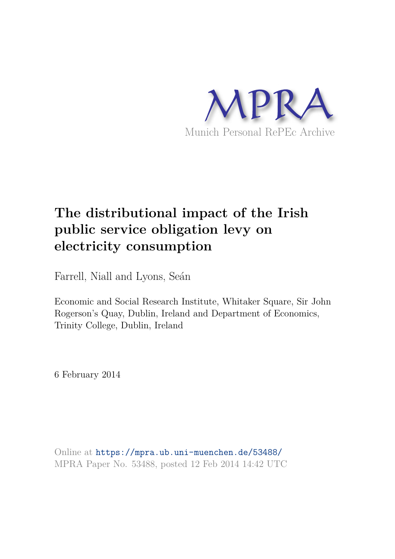

# **The distributional impact of the Irish public service obligation levy on electricity consumption**

Farrell, Niall and Lyons, Seán

Economic and Social Research Institute, Whitaker Square, Sir John Rogerson's Quay, Dublin, Ireland and Department of Economics, Trinity College, Dublin, Ireland

6 February 2014

Online at https://mpra.ub.uni-muenchen.de/53488/ MPRA Paper No. 53488, posted 12 Feb 2014 14:42 UTC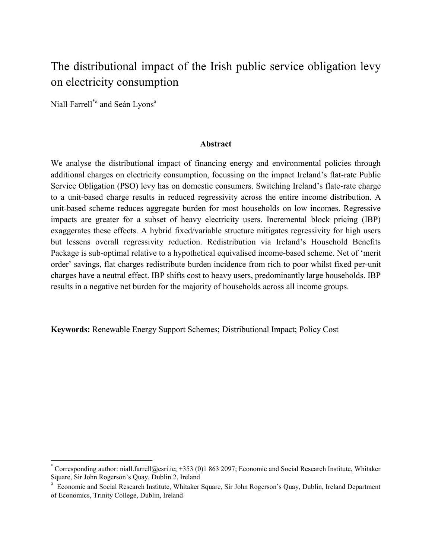## The distributional impact of the Irish public service obligation levy on electricity consumption

Niall Farrell<sup>\*a</sup> and Seán Lyons<sup>a</sup>

l

#### **Abstract**

We analyse the distributional impact of financing energy and environmental policies through additional charges on electricity consumption, focussing on the impact Ireland's flat-rate Public Service Obligation (PSO) levy has on domestic consumers. Switching Ireland's flate-rate charge to a unit-based charge results in reduced regressivity across the entire income distribution. A unit-based scheme reduces aggregate burden for most households on low incomes. Regressive impacts are greater for a subset of heavy electricity users. Incremental block pricing (IBP) exaggerates these effects. A hybrid fixed/variable structure mitigates regressivity for high users but lessens overall regressivity reduction. Redistribution via Ireland's Household Benefits Package is sub-optimal relative to a hypothetical equivalised income-based scheme. Net of 'merit order' savings, flat charges redistribute burden incidence from rich to poor whilst fixed per-unit charges have a neutral effect. IBP shifts cost to heavy users, predominantly large households. IBP results in a negative net burden for the majority of households across all income groups.

**Keywords:** Renewable Energy Support Schemes; Distributional Impact; Policy Cost

<sup>\*</sup> Corresponding author: niall.farrell@esri.ie; +353 (0)1 863 2097; Economic and Social Research Institute, Whitaker Square, Sir John Rogerson's Quay, Dublin 2, Ireland

<sup>&</sup>lt;sup>a</sup> Economic and Social Research Institute, Whitaker Square, Sir John Rogerson's Quay, Dublin, Ireland Department of Economics, Trinity College, Dublin, Ireland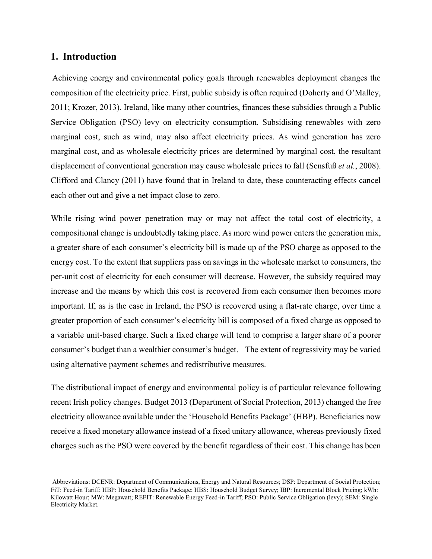## **1. Introduction**

l

Achieving energy and environmental policy goals through renewables deployment changes the composition of the electricity price. First, public subsidy is often required (Doherty and O'Malley, 2011; Krozer, 2013). Ireland, like many other countries, finances these subsidies through a Public Service Obligation (PSO) levy on electricity consumption. Subsidising renewables with zero marginal cost, such as wind, may also affect electricity prices. As wind generation has zero marginal cost, and as wholesale electricity prices are determined by marginal cost, the resultant displacement of conventional generation may cause wholesale prices to fall (Sensfuß *et al.*, 2008). Clifford and Clancy (2011) have found that in Ireland to date, these counteracting effects cancel each other out and give a net impact close to zero.

While rising wind power penetration may or may not affect the total cost of electricity, a compositional change is undoubtedly taking place. As more wind power enters the generation mix, a greater share of each consumer's electricity bill is made up of the PSO charge as opposed to the energy cost. To the extent that suppliers pass on savings in the wholesale market to consumers, the per-unit cost of electricity for each consumer will decrease. However, the subsidy required may increase and the means by which this cost is recovered from each consumer then becomes more important. If, as is the case in Ireland, the PSO is recovered using a flat-rate charge, over time a greater proportion of each consumer's electricity bill is composed of a fixed charge as opposed to a variable unit-based charge. Such a fixed charge will tend to comprise a larger share of a poorer consumer's budget than a wealthier consumer's budget. The extent of regressivity may be varied using alternative payment schemes and redistributive measures.

The distributional impact of energy and environmental policy is of particular relevance following recent Irish policy changes. Budget 2013 (Department of Social Protection, 2013) changed the free electricity allowance available under the 'Household Benefits Package' (HBP). Beneficiaries now receive a fixed monetary allowance instead of a fixed unitary allowance, whereas previously fixed charges such as the PSO were covered by the benefit regardless of their cost. This change has been

Abbreviations: DCENR: Department of Communications, Energy and Natural Resources; DSP: Department of Social Protection; FiT: Feed-in Tariff; HBP: Household Benefits Package; HBS: Household Budget Survey; IBP: Incremental Block Pricing; kWh: Kilowatt Hour; MW: Megawatt; REFIT: Renewable Energy Feed-in Tariff; PSO: Public Service Obligation (levy); SEM: Single Electricity Market.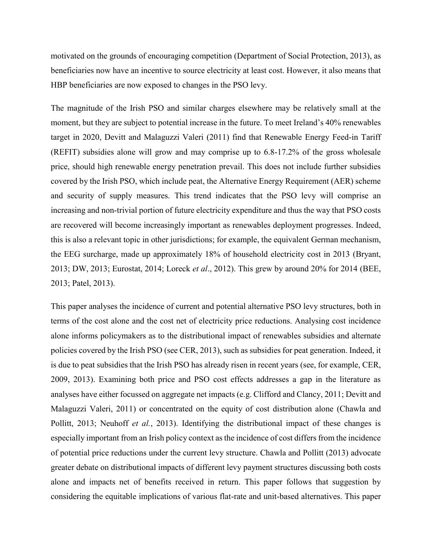motivated on the grounds of encouraging competition (Department of Social Protection, 2013), as beneficiaries now have an incentive to source electricity at least cost. However, it also means that HBP beneficiaries are now exposed to changes in the PSO levy.

The magnitude of the Irish PSO and similar charges elsewhere may be relatively small at the moment, but they are subject to potential increase in the future. To meet Ireland's 40% renewables target in 2020, Devitt and Malaguzzi Valeri (2011) find that Renewable Energy Feed-in Tariff (REFIT) subsidies alone will grow and may comprise up to 6.8-17.2% of the gross wholesale price, should high renewable energy penetration prevail. This does not include further subsidies covered by the Irish PSO, which include peat, the Alternative Energy Requirement (AER) scheme and security of supply measures. This trend indicates that the PSO levy will comprise an increasing and non-trivial portion of future electricity expenditure and thus the way that PSO costs are recovered will become increasingly important as renewables deployment progresses. Indeed, this is also a relevant topic in other jurisdictions; for example, the equivalent German mechanism, the EEG surcharge, made up approximately 18% of household electricity cost in 2013 (Bryant, 2013; DW, 2013; Eurostat, 2014; Loreck *et al*., 2012). This grew by around 20% for 2014 (BEE, 2013; Patel, 2013).

This paper analyses the incidence of current and potential alternative PSO levy structures, both in terms of the cost alone and the cost net of electricity price reductions. Analysing cost incidence alone informs policymakers as to the distributional impact of renewables subsidies and alternate policies covered by the Irish PSO (see CER, 2013), such as subsidies for peat generation. Indeed, it is due to peat subsidies that the Irish PSO has already risen in recent years (see, for example, CER, 2009, 2013). Examining both price and PSO cost effects addresses a gap in the literature as analyses have either focussed on aggregate net impacts (e.g. Clifford and Clancy, 2011; Devitt and Malaguzzi Valeri, 2011) or concentrated on the equity of cost distribution alone (Chawla and Pollitt, 2013; Neuhoff *et al.*, 2013). Identifying the distributional impact of these changes is especially important from an Irish policy context as the incidence of cost differs from the incidence of potential price reductions under the current levy structure. Chawla and Pollitt (2013) advocate greater debate on distributional impacts of different levy payment structures discussing both costs alone and impacts net of benefits received in return. This paper follows that suggestion by considering the equitable implications of various flat-rate and unit-based alternatives. This paper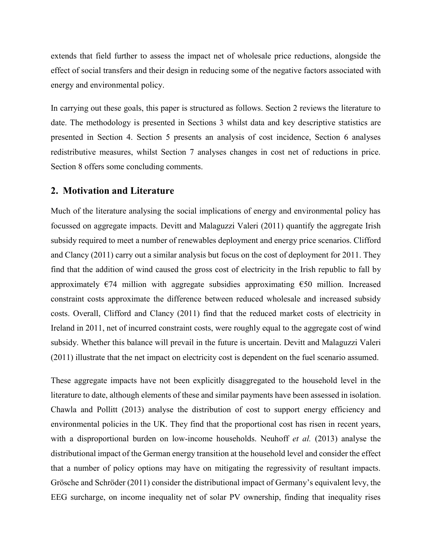extends that field further to assess the impact net of wholesale price reductions, alongside the effect of social transfers and their design in reducing some of the negative factors associated with energy and environmental policy.

In carrying out these goals, this paper is structured as follows. Section 2 reviews the literature to date. The methodology is presented in Sections 3 whilst data and key descriptive statistics are presented in Section 4. Section 5 presents an analysis of cost incidence, Section 6 analyses redistributive measures, whilst Section 7 analyses changes in cost net of reductions in price. Section 8 offers some concluding comments.

#### **2. Motivation and Literature**

Much of the literature analysing the social implications of energy and environmental policy has focussed on aggregate impacts. Devitt and Malaguzzi Valeri (2011) quantify the aggregate Irish subsidy required to meet a number of renewables deployment and energy price scenarios. Clifford and Clancy (2011) carry out a similar analysis but focus on the cost of deployment for 2011. They find that the addition of wind caused the gross cost of electricity in the Irish republic to fall by approximately  $\epsilon$ 74 million with aggregate subsidies approximating  $\epsilon$ 50 million. Increased constraint costs approximate the difference between reduced wholesale and increased subsidy costs. Overall, Clifford and Clancy (2011) find that the reduced market costs of electricity in Ireland in 2011, net of incurred constraint costs, were roughly equal to the aggregate cost of wind subsidy. Whether this balance will prevail in the future is uncertain. Devitt and Malaguzzi Valeri (2011) illustrate that the net impact on electricity cost is dependent on the fuel scenario assumed.

These aggregate impacts have not been explicitly disaggregated to the household level in the literature to date, although elements of these and similar payments have been assessed in isolation. Chawla and Pollitt (2013) analyse the distribution of cost to support energy efficiency and environmental policies in the UK. They find that the proportional cost has risen in recent years, with a disproportional burden on low-income households. Neuhoff *et al.* (2013) analyse the distributional impact of the German energy transition at the household level and consider the effect that a number of policy options may have on mitigating the regressivity of resultant impacts. Grösche and Schröder (2011) consider the distributional impact of Germany's equivalent levy, the EEG surcharge, on income inequality net of solar PV ownership, finding that inequality rises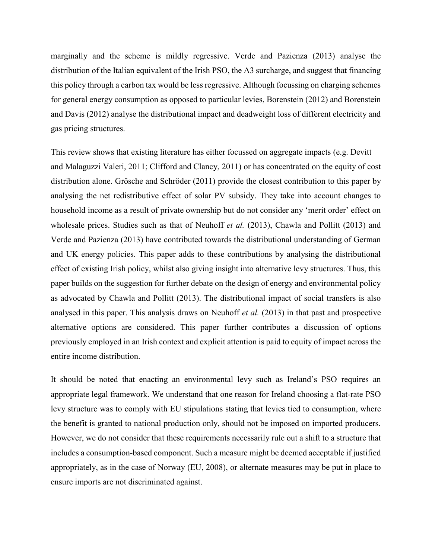marginally and the scheme is mildly regressive. Verde and Pazienza (2013) analyse the distribution of the Italian equivalent of the Irish PSO, the A3 surcharge, and suggest that financing this policy through a carbon tax would be less regressive. Although focussing on charging schemes for general energy consumption as opposed to particular levies, Borenstein (2012) and Borenstein and Davis (2012) analyse the distributional impact and deadweight loss of different electricity and gas pricing structures.

This review shows that existing literature has either focussed on aggregate impacts (e.g. Devitt and Malaguzzi Valeri, 2011; Clifford and Clancy, 2011) or has concentrated on the equity of cost distribution alone. Grösche and Schröder (2011) provide the closest contribution to this paper by analysing the net redistributive effect of solar PV subsidy. They take into account changes to household income as a result of private ownership but do not consider any 'merit order' effect on wholesale prices. Studies such as that of Neuhoff *et al.* (2013), Chawla and Pollitt (2013) and Verde and Pazienza (2013) have contributed towards the distributional understanding of German and UK energy policies. This paper adds to these contributions by analysing the distributional effect of existing Irish policy, whilst also giving insight into alternative levy structures. Thus, this paper builds on the suggestion for further debate on the design of energy and environmental policy as advocated by Chawla and Pollitt (2013). The distributional impact of social transfers is also analysed in this paper. This analysis draws on Neuhoff *et al.* (2013) in that past and prospective alternative options are considered. This paper further contributes a discussion of options previously employed in an Irish context and explicit attention is paid to equity of impact across the entire income distribution.

It should be noted that enacting an environmental levy such as Ireland's PSO requires an appropriate legal framework. We understand that one reason for Ireland choosing a flat-rate PSO levy structure was to comply with EU stipulations stating that levies tied to consumption, where the benefit is granted to national production only, should not be imposed on imported producers. However, we do not consider that these requirements necessarily rule out a shift to a structure that includes a consumption-based component. Such a measure might be deemed acceptable if justified appropriately, as in the case of Norway (EU, 2008), or alternate measures may be put in place to ensure imports are not discriminated against.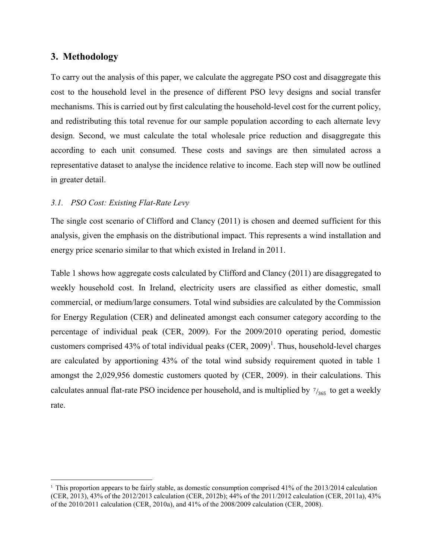## **3. Methodology**

l

To carry out the analysis of this paper, we calculate the aggregate PSO cost and disaggregate this cost to the household level in the presence of different PSO levy designs and social transfer mechanisms. This is carried out by first calculating the household-level cost for the current policy, and redistributing this total revenue for our sample population according to each alternate levy design. Second, we must calculate the total wholesale price reduction and disaggregate this according to each unit consumed. These costs and savings are then simulated across a representative dataset to analyse the incidence relative to income. Each step will now be outlined in greater detail.

## *3.1. PSO Cost: Existing Flat-Rate Levy*

The single cost scenario of Clifford and Clancy (2011) is chosen and deemed sufficient for this analysis, given the emphasis on the distributional impact. This represents a wind installation and energy price scenario similar to that which existed in Ireland in 2011.

Table 1 shows how aggregate costs calculated by Clifford and Clancy (2011) are disaggregated to weekly household cost. In Ireland, electricity users are classified as either domestic, small commercial, or medium/large consumers. Total wind subsidies are calculated by the Commission for Energy Regulation (CER) and delineated amongst each consumer category according to the percentage of individual peak (CER, 2009). For the 2009/2010 operating period, domestic customers comprised 43% of total individual peaks  $(CER, 2009)^1$ . Thus, household-level charges are calculated by apportioning 43% of the total wind subsidy requirement quoted in table 1 amongst the 2,029,956 domestic customers quoted by (CER, 2009). in their calculations. This calculates annual flat-rate PSO incidence per household, and is multiplied by  $\frac{7}{365}$  to get a weekly rate.

<sup>&</sup>lt;sup>1</sup> This proportion appears to be fairly stable, as domestic consumption comprised 41% of the 2013/2014 calculation (CER, 2013), 43% of the 2012/2013 calculation (CER, 2012b); 44% of the 2011/2012 calculation (CER, 2011a), 43% of the 2010/2011 calculation (CER, 2010a), and 41% of the 2008/2009 calculation (CER, 2008).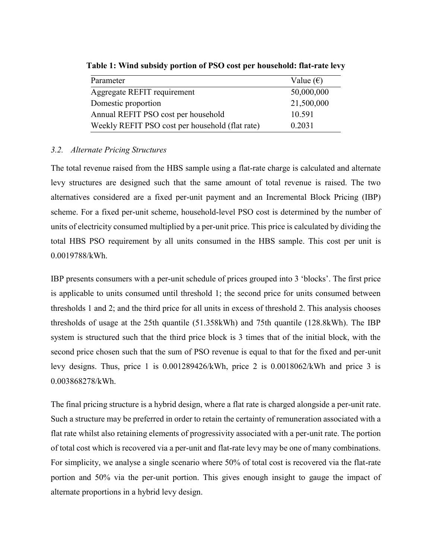| Parameter                                       | Value $(\epsilon)$ |
|-------------------------------------------------|--------------------|
| Aggregate REFIT requirement                     | 50,000,000         |
| Domestic proportion                             | 21,500,000         |
| Annual REFIT PSO cost per household             | 10.591             |
| Weekly REFIT PSO cost per household (flat rate) | 0.2031             |

**Table 1: Wind subsidy portion of PSO cost per household: flat-rate levy** 

## *3.2. Alternate Pricing Structures*

The total revenue raised from the HBS sample using a flat-rate charge is calculated and alternate levy structures are designed such that the same amount of total revenue is raised. The two alternatives considered are a fixed per-unit payment and an Incremental Block Pricing (IBP) scheme. For a fixed per-unit scheme, household-level PSO cost is determined by the number of units of electricity consumed multiplied by a per-unit price. This price is calculated by dividing the total HBS PSO requirement by all units consumed in the HBS sample. This cost per unit is 0.0019788/kWh.

IBP presents consumers with a per-unit schedule of prices grouped into 3 'blocks'. The first price is applicable to units consumed until threshold 1; the second price for units consumed between thresholds 1 and 2; and the third price for all units in excess of threshold 2. This analysis chooses thresholds of usage at the 25th quantile (51.358kWh) and 75th quantile (128.8kWh). The IBP system is structured such that the third price block is 3 times that of the initial block, with the second price chosen such that the sum of PSO revenue is equal to that for the fixed and per-unit levy designs. Thus, price 1 is 0.001289426/kWh, price 2 is 0.0018062/kWh and price 3 is 0.003868278/kWh.

The final pricing structure is a hybrid design, where a flat rate is charged alongside a per-unit rate. Such a structure may be preferred in order to retain the certainty of remuneration associated with a flat rate whilst also retaining elements of progressivity associated with a per-unit rate. The portion of total cost which is recovered via a per-unit and flat-rate levy may be one of many combinations. For simplicity, we analyse a single scenario where 50% of total cost is recovered via the flat-rate portion and 50% via the per-unit portion. This gives enough insight to gauge the impact of alternate proportions in a hybrid levy design.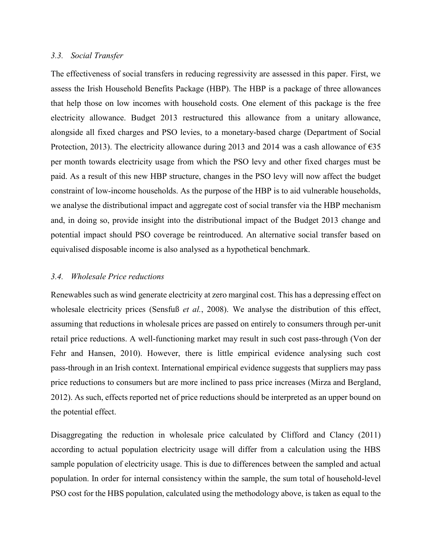#### *3.3. Social Transfer*

The effectiveness of social transfers in reducing regressivity are assessed in this paper. First, we assess the Irish Household Benefits Package (HBP). The HBP is a package of three allowances that help those on low incomes with household costs. One element of this package is the free electricity allowance. Budget 2013 restructured this allowance from a unitary allowance, alongside all fixed charges and PSO levies, to a monetary-based charge (Department of Social Protection, 2013). The electricity allowance during 2013 and 2014 was a cash allowance of  $\epsilon$ 35 per month towards electricity usage from which the PSO levy and other fixed charges must be paid. As a result of this new HBP structure, changes in the PSO levy will now affect the budget constraint of low-income households. As the purpose of the HBP is to aid vulnerable households, we analyse the distributional impact and aggregate cost of social transfer via the HBP mechanism and, in doing so, provide insight into the distributional impact of the Budget 2013 change and potential impact should PSO coverage be reintroduced. An alternative social transfer based on equivalised disposable income is also analysed as a hypothetical benchmark.

#### *3.4. Wholesale Price reductions*

Renewables such as wind generate electricity at zero marginal cost. This has a depressing effect on wholesale electricity prices (Sensfuß *et al.*, 2008). We analyse the distribution of this effect, assuming that reductions in wholesale prices are passed on entirely to consumers through per-unit retail price reductions. A well-functioning market may result in such cost pass-through (Von der Fehr and Hansen, 2010). However, there is little empirical evidence analysing such cost pass-through in an Irish context. International empirical evidence suggests that suppliers may pass price reductions to consumers but are more inclined to pass price increases (Mirza and Bergland, 2012). As such, effects reported net of price reductions should be interpreted as an upper bound on the potential effect.

Disaggregating the reduction in wholesale price calculated by Clifford and Clancy (2011) according to actual population electricity usage will differ from a calculation using the HBS sample population of electricity usage. This is due to differences between the sampled and actual population. In order for internal consistency within the sample, the sum total of household-level PSO cost for the HBS population, calculated using the methodology above, is taken as equal to the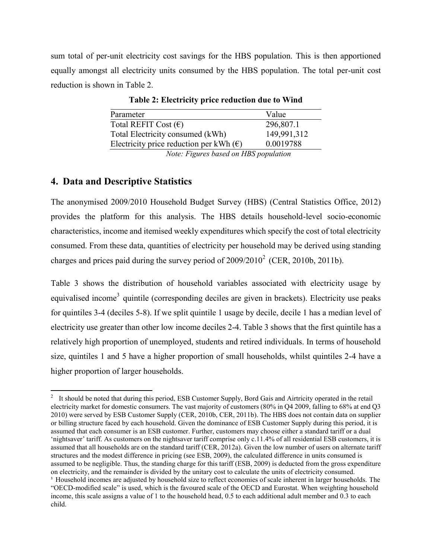sum total of per-unit electricity cost savings for the HBS population. This is then apportioned equally amongst all electricity units consumed by the HBS population. The total per-unit cost reduction is shown in Table 2.

| Parameter                                        | Value          |
|--------------------------------------------------|----------------|
| Total REFIT Cost $(\epsilon)$                    | 296,807.1      |
| Total Electricity consumed (kWh)                 | 149,991,312    |
| Electricity price reduction per kWh $(\epsilon)$ | 0.0019788      |
| $\mathbf{r}$ $\mathbf{r}$ $\mathbf{r}$<br>T T R  | $\mathbf{I}$ . |

**Table 2: Electricity price reduction due to Wind** 

*Note: Figures based on HBS population* 

## **4. Data and Descriptive Statistics**

The anonymised 2009/2010 Household Budget Survey (HBS) (Central Statistics Office, 2012) provides the platform for this analysis. The HBS details household-level socio-economic characteristics, income and itemised weekly expenditures which specify the cost of total electricity consumed. From these data, quantities of electricity per household may be derived using standing charges and prices paid during the survey period of  $2009/2010^2$  (CER,  $2010b$ ,  $2011b$ ).

Table 3 shows the distribution of household variables associated with electricity usage by equivalised income<sup>3</sup> quintile (corresponding deciles are given in brackets). Electricity use peaks for quintiles 3-4 (deciles 5-8). If we split quintile 1 usage by decile, decile 1 has a median level of electricity use greater than other low income deciles 2-4. Table 3 shows that the first quintile has a relatively high proportion of unemployed, students and retired individuals. In terms of household size, quintiles 1 and 5 have a higher proportion of small households, whilst quintiles 2-4 have a higher proportion of larger households.

<sup>&</sup>lt;sup>2</sup> It should be noted that during this period, ESB Customer Supply, Bord Gais and Airtricity operated in the retail electricity market for domestic consumers. The vast majority of customers (80% in Q4 2009, falling to 68% at end Q3 2010) were served by ESB Customer Supply (CER, 2010b, CER, 2011b). The HBS does not contain data on supplier or billing structure faced by each household. Given the dominance of ESB Customer Supply during this period, it is assumed that each consumer is an ESB customer. Further, customers may choose either a standard tariff or a dual 'nightsaver' tariff. As customers on the nightsaver tariff comprise only c.11.4% of all residential ESB customers, it is assumed that all households are on the standard tariff (CER, 2012a). Given the low number of users on alternate tariff structures and the modest difference in pricing (see ESB, 2009), the calculated difference in units consumed is assumed to be negligible. Thus, the standing charge for this tariff (ESB, 2009) is deducted from the gross expenditure on electricity, and the remainder is divided by the unitary cost to calculate the units of electricity consumed.

<sup>&</sup>lt;sup>3</sup> Household incomes are adjusted by household size to reflect economies of scale inherent in larger households. The "OECD-modified scale" is used, which is the favoured scale of the OECD and Eurostat. When weighting household income, this scale assigns a value of 1 to the household head, 0.5 to each additional adult member and 0.3 to each child.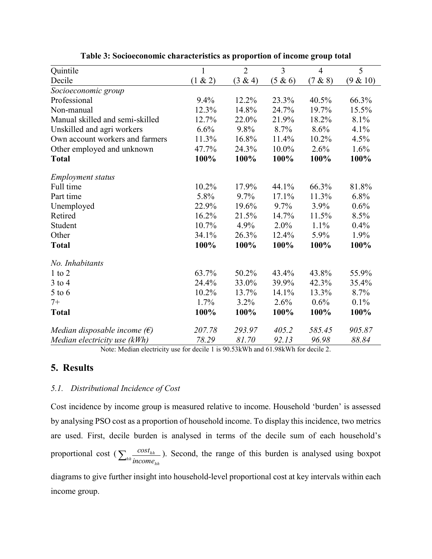| Quintile                              | $\mathbf{1}$ | $\overline{2}$ | $\overline{3}$ | $\overline{4}$ | $\overline{5}$ |
|---------------------------------------|--------------|----------------|----------------|----------------|----------------|
| Decile                                | (1 & 2)      | (3 & 4)        | (5 & 6)        | (7 & 8)        | (9 & 10)       |
| Socioeconomic group                   |              |                |                |                |                |
| Professional                          | 9.4%         | 12.2%          | 23.3%          | 40.5%          | 66.3%          |
| Non-manual                            | 12.3%        | 14.8%          | 24.7%          | 19.7%          | 15.5%          |
| Manual skilled and semi-skilled       | 12.7%        | 22.0%          | 21.9%          | 18.2%          | 8.1%           |
| Unskilled and agri workers            | 6.6%         | 9.8%           | 8.7%           | 8.6%           | 4.1%           |
| Own account workers and farmers       | 11.3%        | 16.8%          | 11.4%          | 10.2%          | 4.5%           |
| Other employed and unknown            | 47.7%        | 24.3%          | 10.0%          | 2.6%           | 1.6%           |
| <b>Total</b>                          | 100%         | 100%           | 100%           | 100%           | 100%           |
| <b>Employment status</b>              |              |                |                |                |                |
| Full time                             | 10.2%        | 17.9%          | 44.1%          | 66.3%          | 81.8%          |
| Part time                             | 5.8%         | 9.7%           | 17.1%          | 11.3%          | 6.8%           |
| Unemployed                            | 22.9%        | 19.6%          | 9.7%           | 3.9%           | 0.6%           |
| Retired                               | 16.2%        | 21.5%          | 14.7%          | 11.5%          | 8.5%           |
| Student                               | 10.7%        | 4.9%           | 2.0%           | 1.1%           | 0.4%           |
| Other                                 | 34.1%        | 26.3%          | 12.4%          | 5.9%           | 1.9%           |
| <b>Total</b>                          | 100%         | 100%           | 100%           | 100%           | 100%           |
| No. Inhabitants                       |              |                |                |                |                |
| $1$ to $2$                            | 63.7%        | 50.2%          | 43.4%          | 43.8%          | 55.9%          |
| $3$ to 4                              | 24.4%        | 33.0%          | 39.9%          | 42.3%          | 35.4%          |
| $5$ to $6$                            | 10.2%        | 13.7%          | 14.1%          | 13.3%          | 8.7%           |
| $7+$                                  | 1.7%         | 3.2%           | 2.6%           | 0.6%           | $0.1\%$        |
| <b>Total</b>                          | 100%         | 100%           | 100%           | 100%           | 100%           |
| Median disposable income $(\epsilon)$ | 207.78       | 293.97         | 405.2          | 585.45         | 905.87         |
| Median electricity use (kWh)          | 78.29        | 81.70          | 92.13          | 96.98          | 88.84          |

**Table 3: Socioeconomic characteristics as proportion of income group total** 

Note: Median electricity use for decile 1 is 90.53kWh and 61.98kWh for decile 2.

## **5. Results**

#### *5.1. Distributional Incidence of Cost*

Cost incidence by income group is measured relative to income. Household 'burden' is assessed by analysing PSO cost as a proportion of household income. To display this incidence, two metrics are used. First, decile burden is analysed in terms of the decile sum of each household's proportional cost ( *hh hh*  $\sum_{hh} \frac{cost_{hh}}{income_{hh}}$ ). Second, the range of this burden is analysed using boxpot

diagrams to give further insight into household-level proportional cost at key intervals within each income group.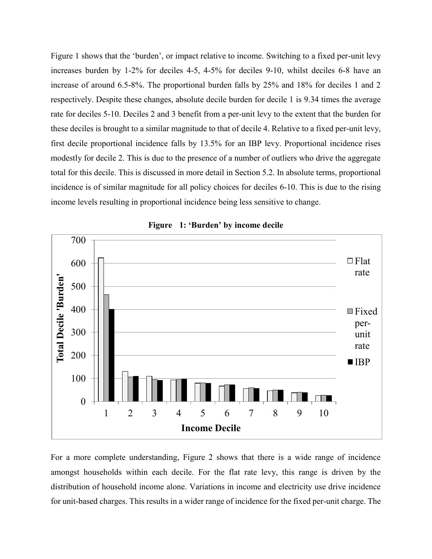Figure 1 shows that the 'burden', or impact relative to income. Switching to a fixed per-unit levy increases burden by 1-2% for deciles 4-5, 4-5% for deciles 9-10, whilst deciles 6-8 have an increase of around 6.5-8%. The proportional burden falls by 25% and 18% for deciles 1 and 2 respectively. Despite these changes, absolute decile burden for decile 1 is 9.34 times the average rate for deciles 5-10. Deciles 2 and 3 benefit from a per-unit levy to the extent that the burden for these deciles is brought to a similar magnitude to that of decile 4. Relative to a fixed per-unit levy, first decile proportional incidence falls by 13.5% for an IBP levy. Proportional incidence rises modestly for decile 2. This is due to the presence of a number of outliers who drive the aggregate total for this decile. This is discussed in more detail in Section 5.2. In absolute terms, proportional incidence is of similar magnitude for all policy choices for deciles 6-10. This is due to the rising income levels resulting in proportional incidence being less sensitive to change.



**Figure 1: 'Burden' by income decile**

For a more complete understanding, Figure 2 shows that there is a wide range of incidence amongst households within each decile. For the flat rate levy, this range is driven by the distribution of household income alone. Variations in income and electricity use drive incidence for unit-based charges. This results in a wider range of incidence for the fixed per-unit charge. The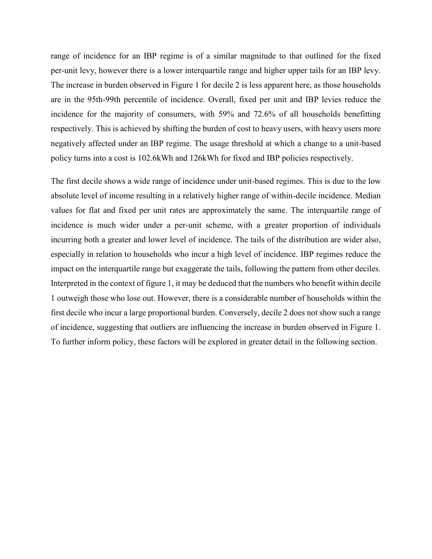range of incidence for an IBP regime is of a similar magnitude to that outlined for the fixed per-unit levy, however there is a lower interquartile range and higher upper tails for an IBP levy. The increase in burden observed in Figure 1 for decile 2 is less apparent here, as those households are in the 95th-99th percentile of incidence. Overall, fixed per unit and IBP levies reduce the incidence for the majority of consumers, with 59% and 72.6% of all households benefitting respectively. This is achieved by shifting the burden of cost to heavy users, with heavy users more negatively affected under an IBP regime. The usage threshold at which a change to a unit-based policy turns into a cost is 102.6kWh and 126kWh for fixed and IBP policies respectively.

The first decile shows a wide range of incidence under unit-based regimes. This is due to the low absolute level of income resulting in a relatively higher range of within-decile incidence. Median values for flat and fixed per unit rates are approximately the same. The interquartile range of incidence is much wider under a per-unit scheme, with a greater proportion of individuals incurring both a greater and lower level of incidence. The tails of the distribution are wider also, especially in relation to households who incur a high level of incidence. IBP regimes reduce the impact on the interquartile range but exaggerate the tails, following the pattern from other deciles. Interpreted in the context of figure 1, it may be deduced that the numbers who benefit within decile 1 outweigh those who lose out. However, there is a considerable number of households within the first decile who incur a large proportional burden. Conversely, decile 2 does not show such a range of incidence, suggesting that outliers are influencing the increase in burden observed in Figure 1. To further inform policy, these factors will be explored in greater detail in the following section.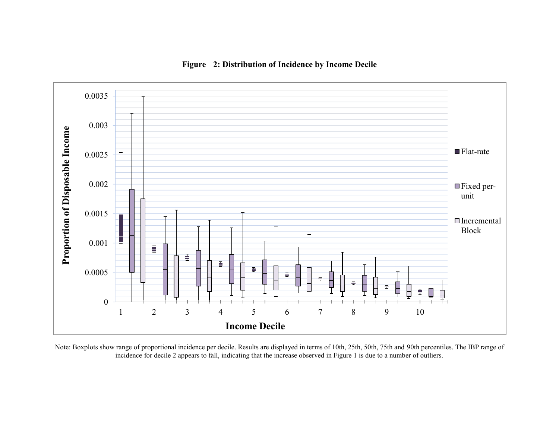

## **Figure 2: Distribution of Incidence by Income Decile**

Note: Boxplots show range of proportional incidence per decile. Results are displayed in terms of 10th, 25th, 50th, 75th and 90th percentiles. The IBP range of incidence for decile 2 appears to fall, indicating that the increase observed in Figure 1 is due to a number of outliers.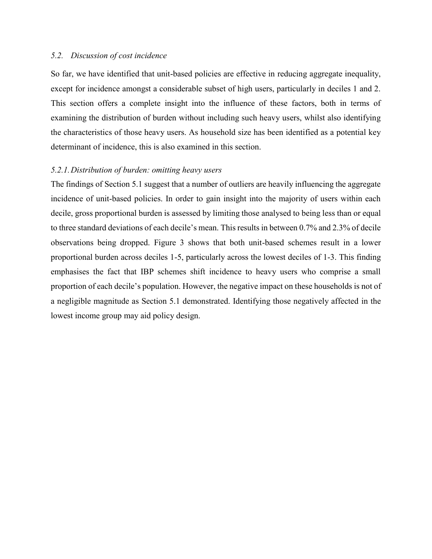#### *5.2. Discussion of cost incidence*

So far, we have identified that unit-based policies are effective in reducing aggregate inequality, except for incidence amongst a considerable subset of high users, particularly in deciles 1 and 2. This section offers a complete insight into the influence of these factors, both in terms of examining the distribution of burden without including such heavy users, whilst also identifying the characteristics of those heavy users. As household size has been identified as a potential key determinant of incidence, this is also examined in this section.

#### *5.2.1.Distribution of burden: omitting heavy users*

The findings of Section 5.1 suggest that a number of outliers are heavily influencing the aggregate incidence of unit-based policies. In order to gain insight into the majority of users within each decile, gross proportional burden is assessed by limiting those analysed to being less than or equal to three standard deviations of each decile's mean. This results in between 0.7% and 2.3% of decile observations being dropped. Figure 3 shows that both unit-based schemes result in a lower proportional burden across deciles 1-5, particularly across the lowest deciles of 1-3. This finding emphasises the fact that IBP schemes shift incidence to heavy users who comprise a small proportion of each decile's population. However, the negative impact on these households is not of a negligible magnitude as Section 5.1 demonstrated. Identifying those negatively affected in the lowest income group may aid policy design.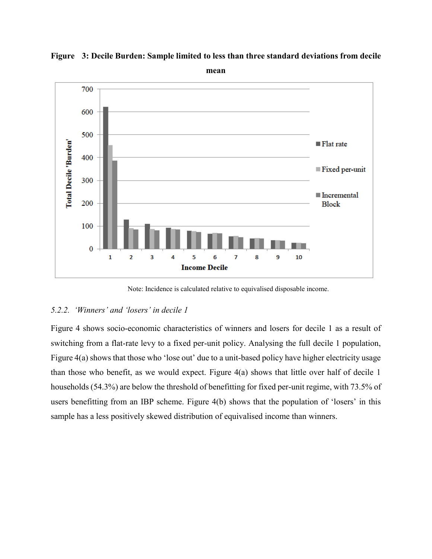

**Figure 3: Decile Burden: Sample limited to less than three standard deviations from decile mean** 

#### Note: Incidence is calculated relative to equivalised disposable income.

#### *5.2.2. 'Winners' and 'losers' in decile 1*

Figure 4 shows socio-economic characteristics of winners and losers for decile 1 as a result of switching from a flat-rate levy to a fixed per-unit policy. Analysing the full decile 1 population, Figure 4(a) shows that those who 'lose out' due to a unit-based policy have higher electricity usage than those who benefit, as we would expect. Figure 4(a) shows that little over half of decile 1 households (54.3%) are below the threshold of benefitting for fixed per-unit regime, with 73.5% of users benefitting from an IBP scheme. Figure 4(b) shows that the population of 'losers' in this sample has a less positively skewed distribution of equivalised income than winners.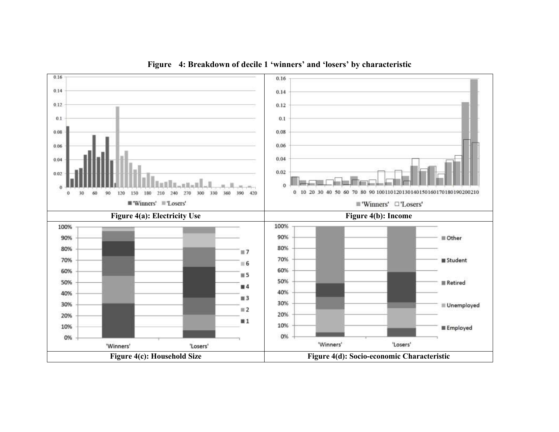

**Figure 4: Breakdown of decile 1 'winners' and 'losers' by characteristic**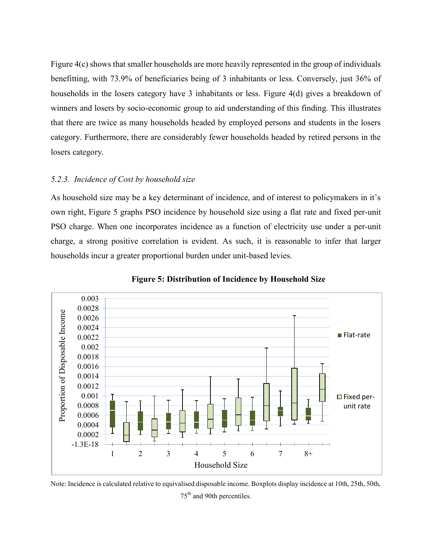Figure 4(c) shows that smaller households are more heavily represented in the group of individuals benefitting, with 73.9% of beneficiaries being of 3 inhabitants or less. Conversely, just 36% of households in the losers category have 3 inhabitants or less. Figure 4(d) gives a breakdown of winners and losers by socio-economic group to aid understanding of this finding. This illustrates that there are twice as many households headed by employed persons and students in the losers category. Furthermore, there are considerably fewer households headed by retired persons in the losers category.

#### *5.2.3. Incidence of Cost by household size*

As household size may be a key determinant of incidence, and of interest to policymakers in it's own right, Figure 5 graphs PSO incidence by household size using a flat rate and fixed per-unit PSO charge. When one incorporates incidence as a function of electricity use under a per-unit charge, a strong positive correlation is evident. As such, it is reasonable to infer that larger households incur a greater proportional burden under unit-based levies.



**Figure 5: Distribution of Incidence by Household Size** 

Note: Incidence is calculated relative to equivalised disposable income. Boxplots display incidence at 10th, 25th, 50th, 75th and 90th percentiles.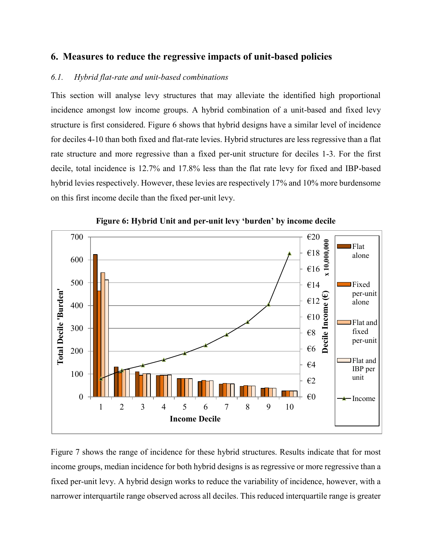## **6. Measures to reduce the regressive impacts of unit-based policies**

#### *6.1. Hybrid flat-rate and unit-based combinations*

This section will analyse levy structures that may alleviate the identified high proportional incidence amongst low income groups. A hybrid combination of a unit-based and fixed levy structure is first considered. Figure 6 shows that hybrid designs have a similar level of incidence for deciles 4-10 than both fixed and flat-rate levies. Hybrid structures are less regressive than a flat rate structure and more regressive than a fixed per-unit structure for deciles 1-3. For the first decile, total incidence is 12.7% and 17.8% less than the flat rate levy for fixed and IBP-based hybrid levies respectively. However, these levies are respectively 17% and 10% more burdensome on this first income decile than the fixed per-unit levy.



**Figure 6: Hybrid Unit and per-unit levy 'burden' by income decile**

Figure 7 shows the range of incidence for these hybrid structures. Results indicate that for most income groups, median incidence for both hybrid designs is as regressive or more regressive than a fixed per-unit levy. A hybrid design works to reduce the variability of incidence, however, with a narrower interquartile range observed across all deciles. This reduced interquartile range is greater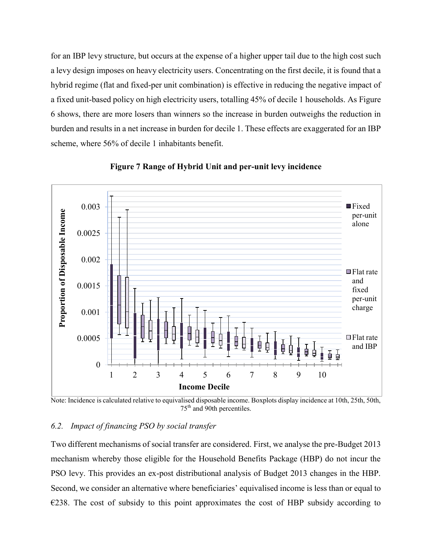for an IBP levy structure, but occurs at the expense of a higher upper tail due to the high cost such a levy design imposes on heavy electricity users. Concentrating on the first decile, it is found that a hybrid regime (flat and fixed-per unit combination) is effective in reducing the negative impact of a fixed unit-based policy on high electricity users, totalling 45% of decile 1 households. As Figure 6 shows, there are more losers than winners so the increase in burden outweighs the reduction in burden and results in a net increase in burden for decile 1. These effects are exaggerated for an IBP scheme, where 56% of decile 1 inhabitants benefit.



**Figure 7 Range of Hybrid Unit and per-unit levy incidence** 

Note: Incidence is calculated relative to equivalised disposable income. Boxplots display incidence at 10th, 25th, 50th, 75<sup>th</sup> and 90th percentiles.

#### *6.2. Impact of financing PSO by social transfer*

Two different mechanisms of social transfer are considered. First, we analyse the pre-Budget 2013 mechanism whereby those eligible for the Household Benefits Package (HBP) do not incur the PSO levy. This provides an ex-post distributional analysis of Budget 2013 changes in the HBP. Second, we consider an alternative where beneficiaries' equivalised income is less than or equal to  $\epsilon$ 238. The cost of subsidy to this point approximates the cost of HBP subsidy according to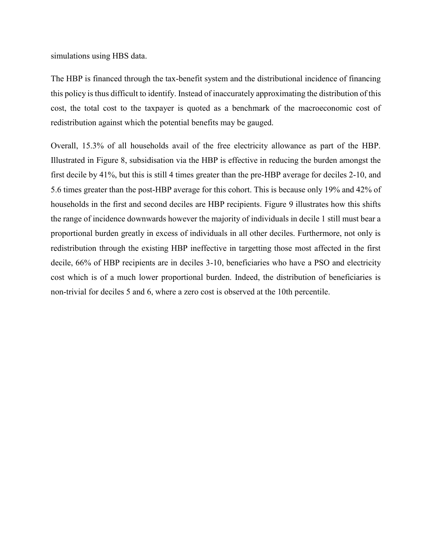simulations using HBS data.

The HBP is financed through the tax-benefit system and the distributional incidence of financing this policy is thus difficult to identify. Instead of inaccurately approximating the distribution of this cost, the total cost to the taxpayer is quoted as a benchmark of the macroeconomic cost of redistribution against which the potential benefits may be gauged.

Overall, 15.3% of all households avail of the free electricity allowance as part of the HBP. Illustrated in Figure 8, subsidisation via the HBP is effective in reducing the burden amongst the first decile by 41%, but this is still 4 times greater than the pre-HBP average for deciles 2-10, and 5.6 times greater than the post-HBP average for this cohort. This is because only 19% and 42% of households in the first and second deciles are HBP recipients. Figure 9 illustrates how this shifts the range of incidence downwards however the majority of individuals in decile 1 still must bear a proportional burden greatly in excess of individuals in all other deciles. Furthermore, not only is redistribution through the existing HBP ineffective in targetting those most affected in the first decile, 66% of HBP recipients are in deciles 3-10, beneficiaries who have a PSO and electricity cost which is of a much lower proportional burden. Indeed, the distribution of beneficiaries is non-trivial for deciles 5 and 6, where a zero cost is observed at the 10th percentile.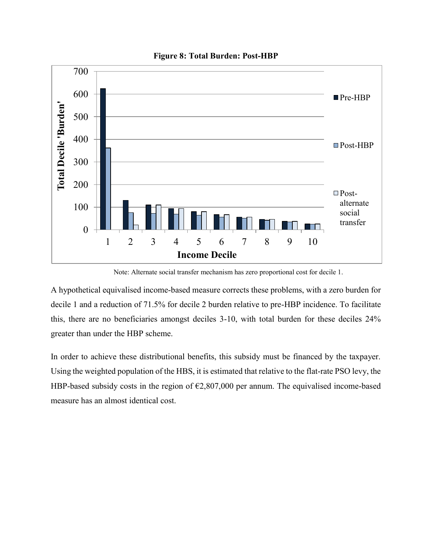

**Figure 8: Total Burden: Post-HBP** 

Note: Alternate social transfer mechanism has zero proportional cost for decile 1.

A hypothetical equivalised income-based measure corrects these problems, with a zero burden for decile 1 and a reduction of 71.5% for decile 2 burden relative to pre-HBP incidence. To facilitate this, there are no beneficiaries amongst deciles 3-10, with total burden for these deciles 24% greater than under the HBP scheme.

In order to achieve these distributional benefits, this subsidy must be financed by the taxpayer. Using the weighted population of the HBS, it is estimated that relative to the flat-rate PSO levy, the HBP-based subsidy costs in the region of  $\epsilon$ 2,807,000 per annum. The equivalised income-based measure has an almost identical cost.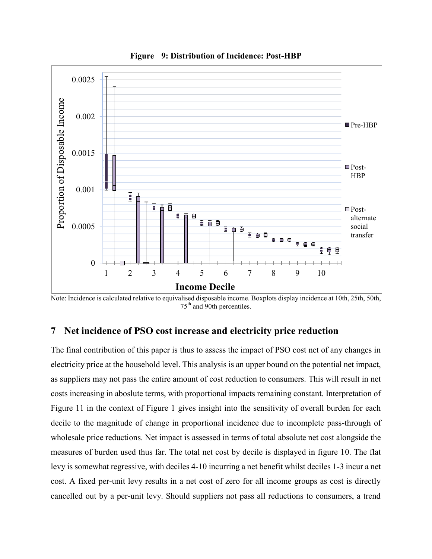

**Figure 9: Distribution of Incidence: Post-HBP** 

Note: Incidence is calculated relative to equivalised disposable income. Boxplots display incidence at 10th, 25th, 50th, 75<sup>th</sup> and 90th percentiles.

## **7 Net incidence of PSO cost increase and electricity price reduction**

The final contribution of this paper is thus to assess the impact of PSO cost net of any changes in electricity price at the household level. This analysis is an upper bound on the potential net impact, as suppliers may not pass the entire amount of cost reduction to consumers. This will result in net costs increasing in aboslute terms, with proportional impacts remaining constant. Interpretation of Figure 11 in the context of Figure 1 gives insight into the sensitivity of overall burden for each decile to the magnitude of change in proportional incidence due to incomplete pass-through of wholesale price reductions. Net impact is assessed in terms of total absolute net cost alongside the measures of burden used thus far. The total net cost by decile is displayed in figure 10. The flat levy is somewhat regressive, with deciles 4-10 incurring a net benefit whilst deciles 1-3 incur a net cost. A fixed per-unit levy results in a net cost of zero for all income groups as cost is directly cancelled out by a per-unit levy. Should suppliers not pass all reductions to consumers, a trend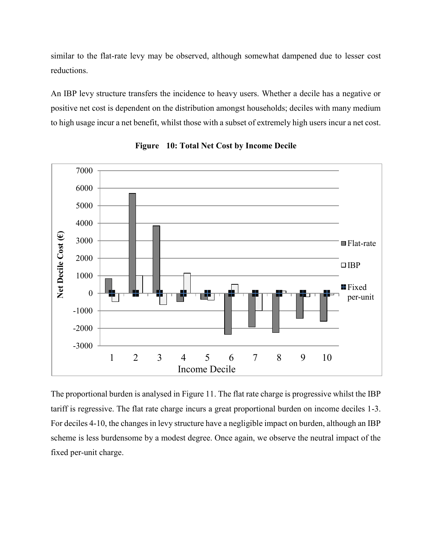similar to the flat-rate levy may be observed, although somewhat dampened due to lesser cost reductions.

An IBP levy structure transfers the incidence to heavy users. Whether a decile has a negative or positive net cost is dependent on the distribution amongst households; deciles with many medium to high usage incur a net benefit, whilst those with a subset of extremely high users incur a net cost.





The proportional burden is analysed in Figure 11. The flat rate charge is progressive whilst the IBP tariff is regressive. The flat rate charge incurs a great proportional burden on income deciles 1-3. For deciles 4-10, the changes in levy structure have a negligible impact on burden, although an IBP scheme is less burdensome by a modest degree. Once again, we observe the neutral impact of the fixed per-unit charge.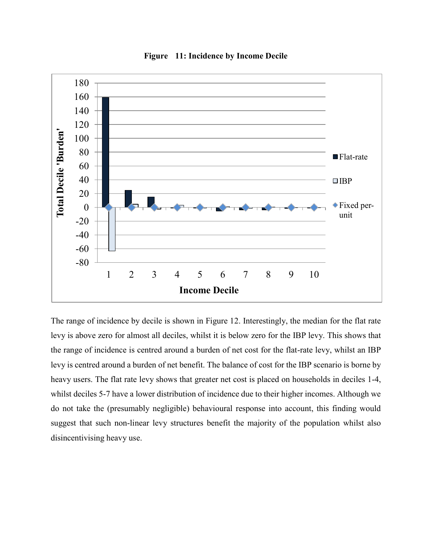

**Figure 11: Incidence by Income Decile** 

The range of incidence by decile is shown in Figure 12. Interestingly, the median for the flat rate levy is above zero for almost all deciles, whilst it is below zero for the IBP levy. This shows that the range of incidence is centred around a burden of net cost for the flat-rate levy, whilst an IBP levy is centred around a burden of net benefit. The balance of cost for the IBP scenario is borne by heavy users. The flat rate levy shows that greater net cost is placed on households in deciles 1-4, whilst deciles 5-7 have a lower distribution of incidence due to their higher incomes. Although we do not take the (presumably negligible) behavioural response into account, this finding would suggest that such non-linear levy structures benefit the majority of the population whilst also disincentivising heavy use.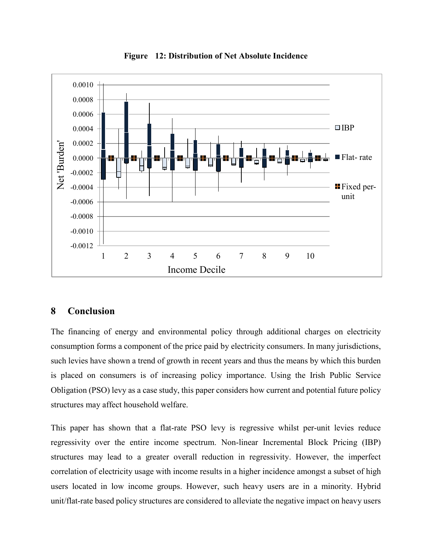

**Figure 12: Distribution of Net Absolute Incidence** 

## **8 Conclusion**

The financing of energy and environmental policy through additional charges on electricity consumption forms a component of the price paid by electricity consumers. In many jurisdictions, such levies have shown a trend of growth in recent years and thus the means by which this burden is placed on consumers is of increasing policy importance. Using the Irish Public Service Obligation (PSO) levy as a case study, this paper considers how current and potential future policy structures may affect household welfare.

This paper has shown that a flat-rate PSO levy is regressive whilst per-unit levies reduce regressivity over the entire income spectrum. Non-linear Incremental Block Pricing (IBP) structures may lead to a greater overall reduction in regressivity. However, the imperfect correlation of electricity usage with income results in a higher incidence amongst a subset of high users located in low income groups. However, such heavy users are in a minority. Hybrid unit/flat-rate based policy structures are considered to alleviate the negative impact on heavy users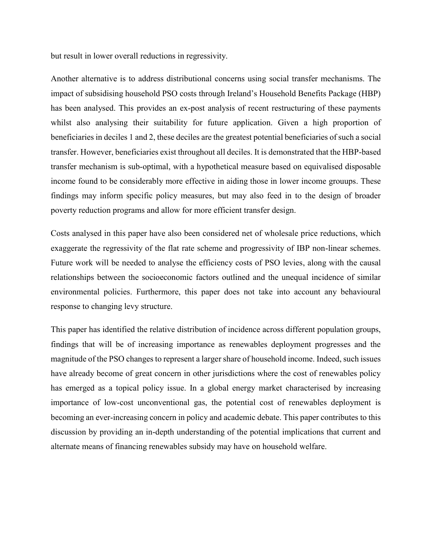but result in lower overall reductions in regressivity.

Another alternative is to address distributional concerns using social transfer mechanisms. The impact of subsidising household PSO costs through Ireland's Household Benefits Package (HBP) has been analysed. This provides an ex-post analysis of recent restructuring of these payments whilst also analysing their suitability for future application. Given a high proportion of beneficiaries in deciles 1 and 2, these deciles are the greatest potential beneficiaries of such a social transfer. However, beneficiaries exist throughout all deciles. It is demonstrated that the HBP-based transfer mechanism is sub-optimal, with a hypothetical measure based on equivalised disposable income found to be considerably more effective in aiding those in lower income grouups. These findings may inform specific policy measures, but may also feed in to the design of broader poverty reduction programs and allow for more efficient transfer design.

Costs analysed in this paper have also been considered net of wholesale price reductions, which exaggerate the regressivity of the flat rate scheme and progressivity of IBP non-linear schemes. Future work will be needed to analyse the efficiency costs of PSO levies, along with the causal relationships between the socioeconomic factors outlined and the unequal incidence of similar environmental policies. Furthermore, this paper does not take into account any behavioural response to changing levy structure.

This paper has identified the relative distribution of incidence across different population groups, findings that will be of increasing importance as renewables deployment progresses and the magnitude of the PSO changes to represent a larger share of household income. Indeed, such issues have already become of great concern in other jurisdictions where the cost of renewables policy has emerged as a topical policy issue. In a global energy market characterised by increasing importance of low-cost unconventional gas, the potential cost of renewables deployment is becoming an ever-increasing concern in policy and academic debate. This paper contributes to this discussion by providing an in-depth understanding of the potential implications that current and alternate means of financing renewables subsidy may have on household welfare.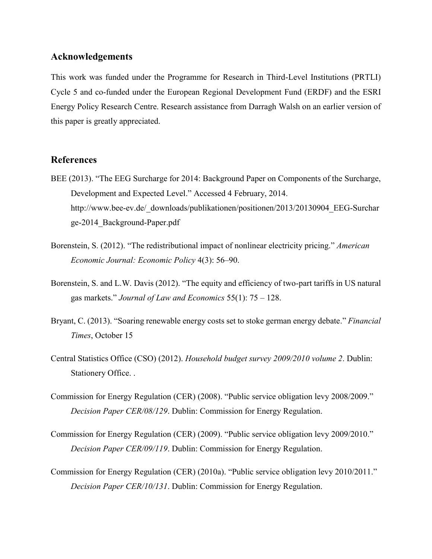#### **Acknowledgements**

This work was funded under the Programme for Research in Third-Level Institutions (PRTLI) Cycle 5 and co-funded under the European Regional Development Fund (ERDF) and the ESRI Energy Policy Research Centre. Research assistance from Darragh Walsh on an earlier version of this paper is greatly appreciated.

## **References**

- BEE (2013). "The EEG Surcharge for 2014: Background Paper on Components of the Surcharge, Development and Expected Level." Accessed 4 February, 2014. http://www.bee-ev.de/\_downloads/publikationen/positionen/2013/20130904\_EEG-Surchar ge-2014\_Background-Paper.pdf
- Borenstein, S. (2012). "The redistributional impact of nonlinear electricity pricing." *American Economic Journal: Economic Policy* 4(3): 56–90.
- Borenstein, S. and L.W. Davis (2012). "The equity and efficiency of two-part tariffs in US natural gas markets." *Journal of Law and Economics* 55(1): 75 – 128.
- Bryant, C. (2013). "Soaring renewable energy costs set to stoke german energy debate." *Financial Times*, October 15
- Central Statistics Office (CSO) (2012). *Household budget survey 2009/2010 volume 2*. Dublin: Stationery Office. .
- Commission for Energy Regulation (CER) (2008). "Public service obligation levy 2008/2009." *Decision Paper CER/08/129*. Dublin: Commission for Energy Regulation.
- Commission for Energy Regulation (CER) (2009). "Public service obligation levy 2009/2010." *Decision Paper CER/09/119*. Dublin: Commission for Energy Regulation.
- Commission for Energy Regulation (CER) (2010a). "Public service obligation levy 2010/2011." *Decision Paper CER/10/131*. Dublin: Commission for Energy Regulation.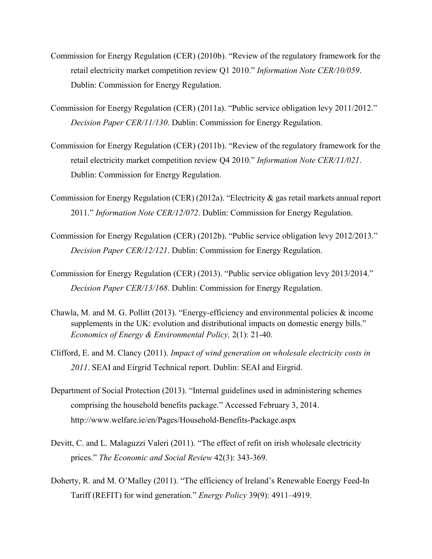- Commission for Energy Regulation (CER) (2010b). "Review of the regulatory framework for the retail electricity market competition review Q1 2010." *Information Note CER/10/059*. Dublin: Commission for Energy Regulation.
- Commission for Energy Regulation (CER) (2011a). "Public service obligation levy 2011/2012." *Decision Paper CER/11/130*. Dublin: Commission for Energy Regulation.
- Commission for Energy Regulation (CER) (2011b). "Review of the regulatory framework for the retail electricity market competition review Q4 2010." *Information Note CER/11/021*. Dublin: Commission for Energy Regulation.
- Commission for Energy Regulation (CER) (2012a). "Electricity & gas retail markets annual report 2011." *Information Note CER/12/072*. Dublin: Commission for Energy Regulation.
- Commission for Energy Regulation (CER) (2012b). "Public service obligation levy 2012/2013." *Decision Paper CER/12/121*. Dublin: Commission for Energy Regulation.
- Commission for Energy Regulation (CER) (2013). "Public service obligation levy 2013/2014." *Decision Paper CER/13/168*. Dublin: Commission for Energy Regulation.
- Chawla, M. and M. G. Pollitt (2013). "Energy-efficiency and environmental policies & income supplements in the UK: evolution and distributional impacts on domestic energy bills." *Economics of Energy & Environmental Policy,* 2(1): 21-40.
- Clifford, E. and M. Clancy (2011). *Impact of wind generation on wholesale electricity costs in 2011*. SEAI and Eirgrid Technical report. Dublin: SEAI and Eirgrid.
- Department of Social Protection (2013). "Internal guidelines used in administering schemes comprising the household benefits package." Accessed February 3, 2014. http://www.welfare.ie/en/Pages/Household-Benefits-Package.aspx
- Devitt, C. and L. Malaguzzi Valeri (2011). "The effect of refit on irish wholesale electricity prices." *The Economic and Social Review* 42(3): 343-369.
- Doherty, R. and M. O'Malley (2011). "The efficiency of Ireland's Renewable Energy Feed-In Tariff (REFIT) for wind generation." *Energy Policy* 39(9): 4911–4919.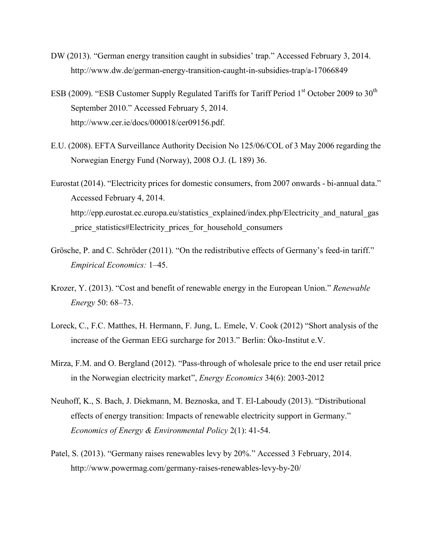- DW (2013). "German energy transition caught in subsidies' trap." Accessed February 3, 2014. http://www.dw.de/german-energy-transition-caught-in-subsidies-trap/a-17066849
- ESB (2009). "ESB Customer Supply Regulated Tariffs for Tariff Period 1<sup>st</sup> October 2009 to 30<sup>th</sup> September 2010." Accessed February 5, 2014. http://www.cer.ie/docs/000018/cer09156.pdf.
- E.U. (2008). EFTA Surveillance Authority Decision No 125/06/COL of 3 May 2006 regarding the Norwegian Energy Fund (Norway), 2008 O.J. (L 189) 36.
- Eurostat (2014). "Electricity prices for domestic consumers, from 2007 onwards bi-annual data." Accessed February 4, 2014. http://epp.eurostat.ec.europa.eu/statistics\_explained/index.php/Electricity\_and\_natural\_gas price statistics#Electricity prices for household consumers
- Grösche, P. and C. Schröder (2011). "On the redistributive effects of Germany's feed-in tariff." *Empirical Economics:* 1–45.
- Krozer, Y. (2013). "Cost and benefit of renewable energy in the European Union." *Renewable Energy* 50: 68–73.
- Loreck, C., F.C. Matthes, H. Hermann, F. Jung, L. Emele, V. Cook (2012) "Short analysis of the increase of the German EEG surcharge for 2013." Berlin: Öko-Institut e.V.
- Mirza, F.M. and O. Bergland (2012). "Pass-through of wholesale price to the end user retail price in the Norwegian electricity market", *Energy Economics* 34(6): 2003-2012
- Neuhoff, K., S. Bach, J. Diekmann, M. Beznoska, and T. El-Laboudy (2013). "Distributional effects of energy transition: Impacts of renewable electricity support in Germany." *Economics of Energy & Environmental Policy* 2(1): 41-54.
- Patel, S. (2013). "Germany raises renewables levy by 20%." Accessed 3 February, 2014. http://www.powermag.com/germany-raises-renewables-levy-by-20/